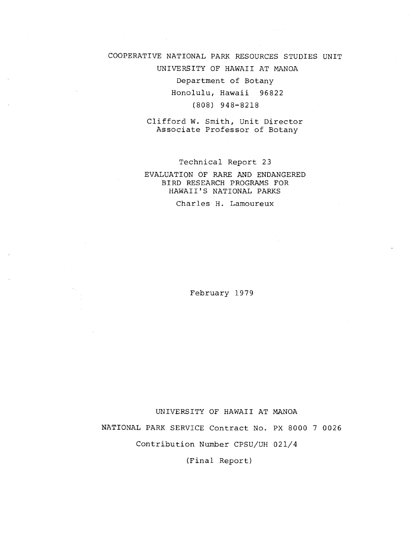## COOPERATIVE NATIONAL PARK RESOURCES STUDIES UNIT

UNIVERSITY OF HAWAII AT MANOA

Department of Botany Honolulu, Hawaii 96822

(808) 948-8218

Clifford W. Smith, Unit Director Associate Professor of Botany

Technical Report 23

## EVALUATION OF RARE AND ENDANGERED BIRD RESEARCH PROGRAMS FOR HAWAII'S NATIONAL PARKS

Charles H. Lamoureux

February 1979

UNIVERSITY OF HAWAII AT MANOA

NATIONAL PARK SERVICE Contract No. PX 8000 7 0026

Contribution Number CPSU/UH 021/4

(Final Report)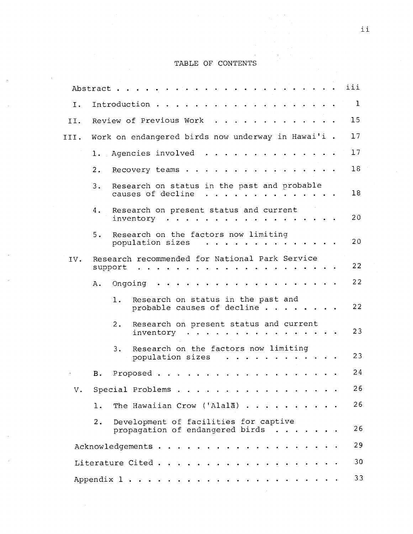# TABLE OF CONTENTS

|      | Abstract.  |         |                                                                           |   |                                 |               |                                   |              |                                                                                                                                                                                                                                   |                                                                                                                                     |                                                                                                                 |  |                                           |  | iii |
|------|------------|---------|---------------------------------------------------------------------------|---|---------------------------------|---------------|-----------------------------------|--------------|-----------------------------------------------------------------------------------------------------------------------------------------------------------------------------------------------------------------------------------|-------------------------------------------------------------------------------------------------------------------------------------|-----------------------------------------------------------------------------------------------------------------|--|-------------------------------------------|--|-----|
| Ι.   |            |         | Introduction.                                                             |   |                                 |               |                                   |              |                                                                                                                                                                                                                                   |                                                                                                                                     |                                                                                                                 |  |                                           |  | 1   |
| II.  |            |         | Review of Previous Work                                                   |   |                                 |               |                                   |              |                                                                                                                                                                                                                                   |                                                                                                                                     |                                                                                                                 |  |                                           |  | 15  |
| III. |            |         | Work on endangered birds now underway in Hawai'i .                        |   |                                 |               |                                   |              |                                                                                                                                                                                                                                   |                                                                                                                                     |                                                                                                                 |  |                                           |  | 17  |
|      |            |         | 1. Agencies involved                                                      |   |                                 |               |                                   |              |                                                                                                                                                                                                                                   |                                                                                                                                     |                                                                                                                 |  |                                           |  | 17  |
|      | 2.         |         | Recovery teams.                                                           |   |                                 |               |                                   |              |                                                                                                                                                                                                                                   |                                                                                                                                     |                                                                                                                 |  |                                           |  | 18  |
|      | 3.         |         | Research on status in the past and probable<br>causes of decline          |   |                                 |               |                                   |              | $\mathbf{r}$ . The set of the set of the set of the set of the set of the set of the set of the set of the set of the set of the set of the set of the set of the set of the set of the set of the set of the set of the set of t |                                                                                                                                     |                                                                                                                 |  | $\sim$ $\sim$ $\sim$ $\sim$ $\sim$ $\sim$ |  | 18  |
|      | 4.         |         | Research on present status and current<br>inventory                       |   | $\cdot$ $\cdot$ $\cdot$ $\cdot$ |               |                                   |              |                                                                                                                                                                                                                                   |                                                                                                                                     |                                                                                                                 |  |                                           |  | 20  |
|      | 5.         |         | Research on the factors now limiting<br>population sizes                  |   |                                 |               |                                   |              | $\begin{array}{cccccccccccccc} \bullet & \bullet & \bullet & \bullet & \bullet & \bullet & \bullet & \bullet & \bullet \end{array}$                                                                                               |                                                                                                                                     |                                                                                                                 |  |                                           |  | 20  |
| IV.  | support    |         | Research recommended for National Park Service                            | . |                                 |               |                                   |              |                                                                                                                                                                                                                                   |                                                                                                                                     |                                                                                                                 |  |                                           |  | 22  |
|      | Α.         | Ongoing |                                                                           |   |                                 |               |                                   |              |                                                                                                                                                                                                                                   |                                                                                                                                     |                                                                                                                 |  |                                           |  | 22  |
|      |            | ı.      | Research on status in the past and<br>probable causes of decline $\cdots$ |   |                                 |               |                                   |              |                                                                                                                                                                                                                                   |                                                                                                                                     |                                                                                                                 |  |                                           |  | 22  |
|      |            | 2.      | Research on present status and current<br>inventory                       |   |                                 |               |                                   |              |                                                                                                                                                                                                                                   |                                                                                                                                     |                                                                                                                 |  |                                           |  | 23  |
|      |            | 3.      | Research on the factors now limiting<br>population sizes                  |   |                                 |               |                                   | $\mathbf{r}$ | $\sim 100$ km s $^{-1}$                                                                                                                                                                                                           | $\begin{array}{cccccccccccccc} \bullet & \bullet & \bullet & \bullet & \bullet & \bullet & \bullet & \bullet & \bullet \end{array}$ |                                                                                                                 |  |                                           |  | 23  |
|      | в.         |         | Proposed.                                                                 |   |                                 |               |                                   |              |                                                                                                                                                                                                                                   |                                                                                                                                     |                                                                                                                 |  |                                           |  | 24  |
| v.   |            |         | Special Problems                                                          |   |                                 |               |                                   |              |                                                                                                                                                                                                                                   |                                                                                                                                     |                                                                                                                 |  |                                           |  | 26  |
|      | ı.         |         | The Hawaiian Crow ('Alala) $\cdots$                                       |   |                                 |               |                                   |              |                                                                                                                                                                                                                                   |                                                                                                                                     |                                                                                                                 |  |                                           |  | 26  |
|      | 2.         |         | Development of facilities for captive<br>propagation of endangered birds  |   |                                 |               |                                   |              |                                                                                                                                                                                                                                   |                                                                                                                                     | .                                                                                                               |  |                                           |  | 26  |
|      |            |         | Acknowledgements                                                          |   |                                 |               | <b>Contract Contract Contract</b> |              | . <i>. .</i> .                                                                                                                                                                                                                    |                                                                                                                                     |                                                                                                                 |  |                                           |  | 29  |
|      |            |         | Literature Cited                                                          |   |                                 | $\sim$ $\sim$ |                                   |              |                                                                                                                                                                                                                                   |                                                                                                                                     | $\begin{array}{cccccccccccccc} \bullet & \bullet & \bullet & \bullet & \bullet & \bullet & \bullet \end{array}$ |  |                                           |  | 30  |
|      | Appendix 1 |         |                                                                           |   |                                 |               |                                   |              |                                                                                                                                                                                                                                   |                                                                                                                                     |                                                                                                                 |  |                                           |  | 33  |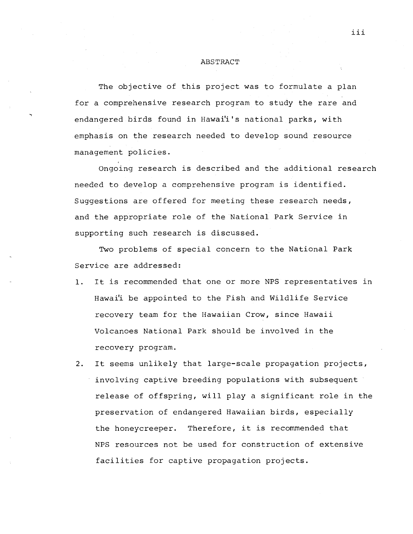#### ABSTRACT

The objective of this project was to formulate a plan for a comprehensive research program to study the rare and endangered birds found in Hawai'i's national parks, with emphasis on the research needed to develop sound resource management policies.

Ongoing research is described and the additional research needed to develop a comprehensive program is identified. Suggestions are offered for meeting these research needs, and the appropriate role of the National Park Service in supporting such research is discussed.

Two problems of special concern to the National Park Service are addressed:

- It is recommended that one or more NPS representatives in  $\mathbf{1}$ . Hawai'i be appointed to the Fish and Wildlife Service recovery team for the Hawaiian Crow, since Hawaii Volcanoes National Park should be involved in the recovery program.
- It seems unlikely that large-scale propagation projects,  $2.$ involving captive breeding populations with subsequent release of offspring, will play a significant role in the preservation of endangered Hawaiian birds, especially the honeycreeper. Therefore, it is recommended that NPS resources not be used for construction of extensive facilities for captive propagation projects.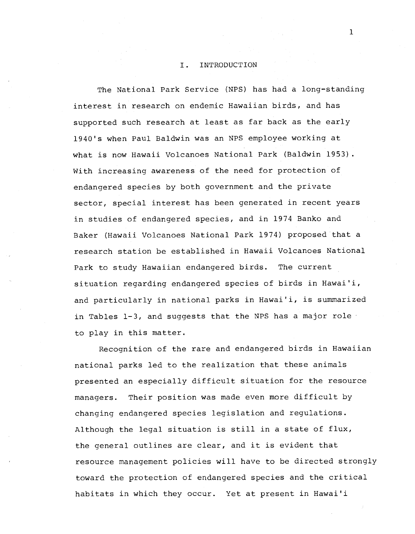### I. INTRODUCTION

The National Park Service (NPS) has had a long-standing interest in research on endemic Hawaiian birds, and has supported such research at least as far back as the early 1940's when Paul Baldwin was an NPS employee working at what is now Hawaii Volcanoes National Park (Baldwin 1953). With increasing awareness of the need for protection of endangered species by both government and the private sector, special interest has been generated in recent years in studies of endangered species, and in 1974 Banko and Baker (Hawaii Volcanoes National Park 1974) proposed that a research station be established in Hawaii Volcanoes National Park to study Hawaiian endangered birds. The current situation regarding endangered species of birds in Hawai'i, and particularly in national parks in Hawai'i, is summarized in Tables 1-3, and suggests that the NPS has a major role to play in this matter.

Recognition of the rare and endangered birds in Hawaiian national parks led to the realization that these animals presented an especially difficult situation for the resource managers. Their position was made even more difficult by changing endangered species legislation and regulations. Although the legal situation is still in a state of flux, the general outlines are clear, and it is evident that resource management policies will have to be directed strongly toward the protection of endangered species and the critical habitats in which they occur. Yet at present in Hawai'i

 $\mathbf{1}$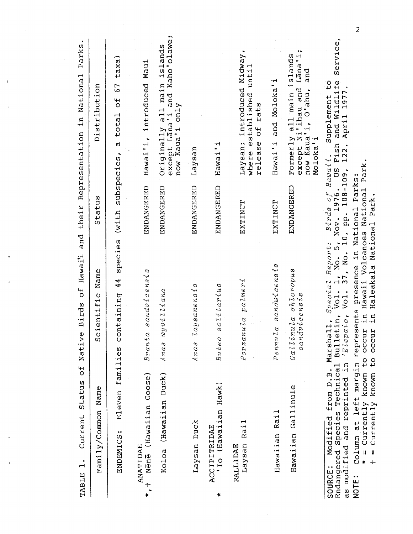| Family/Common                 | Name                                                            | Name<br>cientific<br>U)                                                                      | Status                                                                           | Distribution                                                                                                      |
|-------------------------------|-----------------------------------------------------------------|----------------------------------------------------------------------------------------------|----------------------------------------------------------------------------------|-------------------------------------------------------------------------------------------------------------------|
| ENDEMICS:                     | families<br>Eleven                                              | species<br>$\frac{4}{4}$<br>containing                                                       | (with subspecies,                                                                | taxa)<br>57<br>total of<br>٢Q                                                                                     |
| ANATIDAE<br>$+$<br>$\ast$     | Nēnē (Hawaiian Goose)                                           | sandvicensis<br>Branta                                                                       | ENDANGERED                                                                       | Maui<br>introduced<br>Hawai'i,                                                                                    |
|                               | Koloa (Hawaiian Duck)                                           | $wyvi$ liana<br>Anas                                                                         | ENDANGERED                                                                       | and Kaho'olawe;<br>islands<br>Originally all main<br>except Lana'i and Ka<br>only<br>now Kaua'i                   |
| Laysan Duck                   |                                                                 | lays an en size<br>Anas                                                                      | ENDANGERED                                                                       | Laysan                                                                                                            |
| ACCIPITRIDAE<br>×             | 'Io (Hawaiian Hawk)                                             | solitarius<br>Butec                                                                          | ENDANGERED                                                                       | ⊶<br>Hawai'                                                                                                       |
| Laysan<br>RALLIDAE            | Rai1                                                            | palmeri<br>Porzanula                                                                         | EXTINCT                                                                          | Laysan; introduced Midway,<br>where established until<br>rats<br>$\frac{4}{5}$<br>release                         |
| Hawaiian Rail                 |                                                                 | Pennula sandwicensis                                                                         | EXTINCT                                                                          | and Moloka'i<br>Hawai'i                                                                                           |
|                               | Hawaiian Gallinule                                              | Gallinula chloropus<br>sandvicensis                                                          | ENDANGERED                                                                       | except Ni'ihau and Lana'i;<br>all main islands<br>and<br>now Kaua'i, O'ahu,<br>Formerly<br>Moloka'i               |
| Endangered Species<br>SOURCE: | as modified and reprinted in<br>Technical<br>Modified from D.B. | Special Report:<br>Vol.<br>$\overline{\text{Vol}}$ .<br>'Elepaio<br>Bulletin,<br>Marshall,   | 17 Report: Birds of Hawa:<br>1, No. 5, Nov. 1976. US<br>37, No. 10, pp. 108-109, | Service,<br>Supplement to<br>h and Wildlife<br>, April 1977.<br>April<br>$Hau\alpha i i$ . S<br>. US Fish<br>122, |
| $\ddot{\phantom{1}}$<br>NOTE: | Column at left margin represents                                | = Currently known to occur in Hawaii Volcanoes National Park.<br>presence in National Parks: |                                                                                  |                                                                                                                   |

 $\mathbf{I}$ 

**kw Currently known to occur in Haleakala National Park.** 

 $\overline{c}$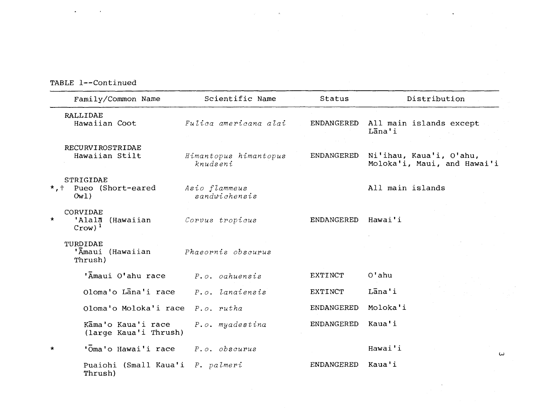# TABLE 1--Continued

| Family/Common Name                                      | Scientific Name                   | Status         | Distribution                                           |
|---------------------------------------------------------|-----------------------------------|----------------|--------------------------------------------------------|
| RALLIDAE<br>Hawaiian Coot                               | Fulica americana alai             | ENDANGERED     | All main islands except<br>Lana'i                      |
| RECURVIROSTRIDAE<br>Hawaiian Stilt                      | Himantopus himantopus<br>knudseni | ENDANGERED     | Ni'ihau, Kaua'i, O'ahu,<br>Moloka'i, Maui, and Hawai'i |
| STRIGIDAE<br>*, + Pueo (Short-eared<br>0w1)             | Asio flammeus<br>sandwichensis    |                | All main islands                                       |
| CORVIDAE<br>$\star$<br>'Alalā<br>(Hawaiian<br>$Crow)^1$ | Corvus tropicus                   | ENDANGERED     | Hawai'i                                                |
| TURDIDAE<br>'Amaui (Hawaiian<br>Thrush)                 | Phaeornis obscurus                |                |                                                        |
| 'Amaui O'ahu race                                       | $P. o.$ $oahuensis$               | EXTINCT        | $O$ 'ahu                                               |
| Oloma'o Lana'i race                                     | P.o. lanaiensis                   | <b>EXTINCT</b> | Lana'i                                                 |
| Oloma'o Moloka'i race                                   | $P.o.$ rutha                      | ENDANGERED     | Moloka'i                                               |
| Kāma'o Kaua'i race<br>(large Kaua'i Thrush)             | P.o. myadestina                   | ENDANGERED     | Kaua'i                                                 |
| 'Oma'o Hawai'i race<br>$\star$                          | $P. o.$ obscurus                  |                | Hawai'i<br>$\omega$                                    |
| Puaiohi (Small Kaua'i<br>Thrush)                        | P. palmeri                        | ENDANGERED     | Kaua'i                                                 |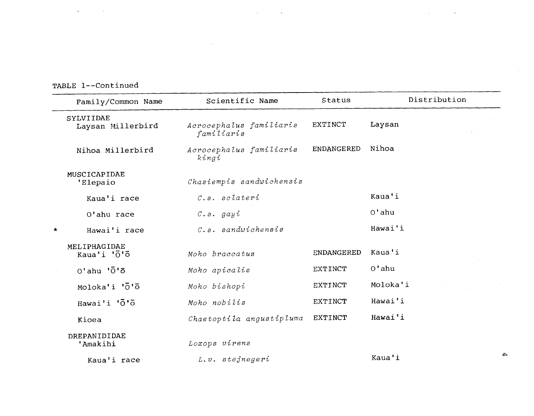TABLE 1--Continued

|         | Family/Common Name               | Scientific Name                       | Status            | Distribution |
|---------|----------------------------------|---------------------------------------|-------------------|--------------|
|         | SYLVIIDAE<br>Laysan Millerbird   | Acrocephalus familiaris<br>familiaris | EXTINCT           | Laysan       |
|         | Nihoa Millerbird                 | Acrocephalus familiaris<br>kingi      | <b>ENDANGERED</b> | Nihoa        |
|         | MUSCICAPIDAE<br>'Elepaio         | Chasiempis sandwichensis              |                   |              |
|         | Kaua'i race                      | $c.s.$ sclateri                       |                   | Kaua'i       |
|         | O'ahu race                       | $c.s.$ gay $i$                        |                   | $0'$ ahu     |
| $\star$ | Hawai'i race                     | $c.s.$ sandwichensis                  |                   | Hawai'i      |
|         | MELIPHAGIDAE<br>Kaua'i 'O'O      | Moho braccatus                        | ENDANGERED        | Kaua'i       |
|         | $0'$ ahu ' $\bar{0}$ ' $\bar{0}$ | Moho apicalis                         | EXTINCT           | $0'$ ahu     |
|         | Moloka'i '0' <sup>o</sup>        | Moho bishopi                          | EXTINCT           | Moloka'i     |
|         | Hawai'i 'O'O                     | Moho nobilis                          | <b>EXTINCT</b>    | Hawai'i      |
|         | Kioea                            | Chaetoptila angustipluma              | EXTINCT           | Hawai'i      |
|         | DREPANIDIDAE<br>'Amakihi         | Loxops virens                         |                   |              |
|         | Kaua'i race                      | L.v. stejnegeri                       |                   | Kaua'i       |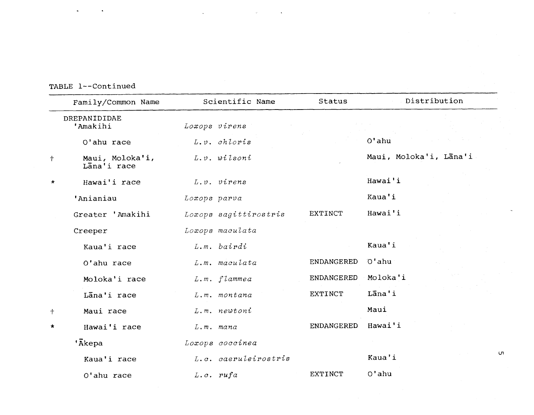TABLE 1--Continued

|            | Family/Common Name             | Scientific Name       | Status         | Distribution           |
|------------|--------------------------------|-----------------------|----------------|------------------------|
|            | DREPANIDIDAE<br>'Amakihi       | Loxops virens         |                |                        |
|            | O'ahu race                     | $L. v.$ chloris       |                | $O'$ ahu               |
| $\ddagger$ | Maui, Moloka'i,<br>Lana'i race | L.v. wilsoni          |                | Maui, Moloka'i, Lana'i |
| $\star$    | Hawai'i race                   | $L.v.$ virens         |                | Hawai'i                |
|            | 'Anianiau                      | Loxops parva          |                | Kaua'i                 |
|            | Greater 'Amakihi               | Loxops sagittirostris | <b>EXTINCT</b> | Hawai'i                |
|            | Creeper                        | Loxops maculata       |                |                        |
|            | Kaua'i race                    | L.m. bairdi           |                | Kaua'i                 |
|            | O'ahu race                     | L.m. maculata         | ENDANGERED     | O'ahu                  |
|            | Moloka'i race                  | L.m. flammea          | ENDANGERED     | Moloka'i               |
|            | Lana'i race                    | L.m. montana          | <b>EXTINCT</b> | Lāna'i                 |
| $\ddagger$ | Maui race                      | $L.m.$ newtoni        |                | Maui                   |
| $\star$    | Hawai'i race                   | $L.m.$ mana           | ENDANGERED     | Hawai'i                |
|            | 'Ākepa                         | Loxops coccinea       |                |                        |
|            | Kaua'i race                    | L.c. caeruleirostris  |                | Kaua'i                 |
|            | O'ahu race                     | $L.c.$ rufa           | <b>EXTINCT</b> | $O'$ ahu               |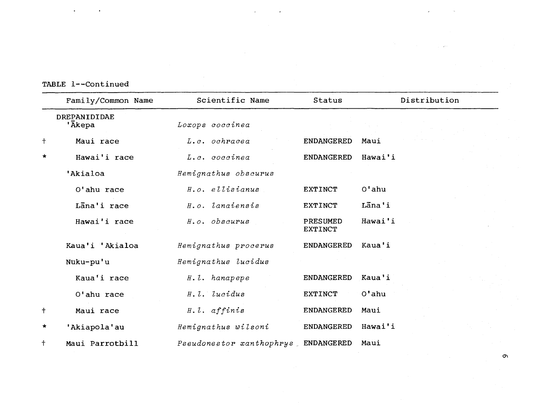| TABLE 1--Continued |  |
|--------------------|--|
|--------------------|--|

|            | Family/Common Name     | Scientific Name                     | <b>Status</b>              | Distribution |
|------------|------------------------|-------------------------------------|----------------------------|--------------|
|            | DREPANIDIDAE<br>'Ākepa | Loxops coccinea                     |                            |              |
| $\ddagger$ | Maui race              | L.c. ochracea                       | <b>ENDANGERED</b>          | Maui         |
| $\star$    | Hawai'i race           | L.c. coccinea                       | <b>ENDANGERED</b>          | Hawai'i      |
|            | 'Akialoa               | Hemignathus obscurus                |                            |              |
|            | O'ahu race             | H.o. ellisianus                     | EXTINCT                    | $Ot$ ahu     |
|            | Lana'i race            | H.o. lanaiensis                     | <b>EXTINCT</b>             | Lana'i       |
|            | Hawai'i race           | H.o. obscurus                       | PRESUMED<br><b>EXTINCT</b> | Hawai'i      |
|            | Kaua'i 'Akialoa        | Hemignathus procerus                | <b>ENDANGERED</b>          | Kaua'i       |
|            | Nuku-pu'u              | Hemignathus lucidus                 |                            |              |
|            | Kaua'i race            | H.l. hanapepe                       | <b>ENDANGERED</b>          | Kaua'i       |
|            | O'ahu race             | H.l. lucidus                        | <b>EXTINCT</b>             | $O'$ ahu     |
| $\ddagger$ | Maui race              | $H. l.$ affinis                     | <b>ENDANGERED</b>          | Maui         |
| $\star$    | 'Akiapola'au           | Hemignathus wilsoni                 | <b>ENDANGERED</b>          | Hawai'i      |
| $\ddagger$ | Maui Parrotbill        | Pseudonestor xanthophrys ENDANGERED |                            | Maui         |

 $\epsilon$ 

 $\label{eq:2.1} \mathcal{L}_{\text{max}}(\mathcal{L}_{\text{max}}) = \mathcal{L}_{\text{max}}(\mathcal{L}_{\text{max}}) \mathcal{L}_{\text{max}}(\mathcal{L}_{\text{max}}^{\text{max}})$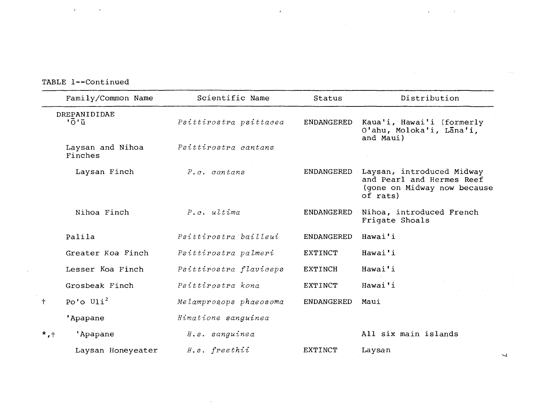TABLE 1--Continued

| Family/Common Name                    | Scientific Name        | Status            | Distribution                                                                                      |
|---------------------------------------|------------------------|-------------------|---------------------------------------------------------------------------------------------------|
| DREPANIDIDAE<br><u> 'ō'ū'</u>         | Psittirostra psittacea | ENDANGERED        | Kaua'i, Hawai'i (formerly<br>O'ahu, Moloka'i, Lana'i,<br>and Maui)                                |
| Laysan and Nihoa<br>Finches           | Psittirostra cantans   |                   |                                                                                                   |
| Laysan Finch                          | P.c. cantans           | <b>ENDANGERED</b> | Laysan, introduced Midway<br>and Pearl and Hermes Reef<br>(gone on Midway now because<br>of rats) |
| Nihoa Finch                           | $P.c.$ ultima          | ENDANGERED        | Nihoa, introduced French<br>Frigate Shoals                                                        |
| Palila                                | Psittirostra bailleui  | <b>ENDANGERED</b> | Hawai'i                                                                                           |
| Greater Koa Finch                     | Psittirostra palmeri   | EXTINCT           | Hawai'i                                                                                           |
| Lesser Koa Finch                      | Psittirostra flaviceps | <b>EXTINCH</b>    | Hawai'i                                                                                           |
| Grosbeak Finch                        | Psittirostra kona      | <b>EXTINCT</b>    | Hawai'i                                                                                           |
| Po'o $U1i^2$<br>$+$                   | Melamprosops phaeosoma | <b>ENDANGERED</b> | Maui                                                                                              |
| 'Apapane                              | Himatione sanguinea    |                   |                                                                                                   |
| $^{\star}$ , $^{\dagger}$<br>'Apapane | H.s. sanguinea         |                   | All six main islands                                                                              |
| Laysan Honeyeater                     | $H.S.$ freethii        | EXTINCT           | Laysan                                                                                            |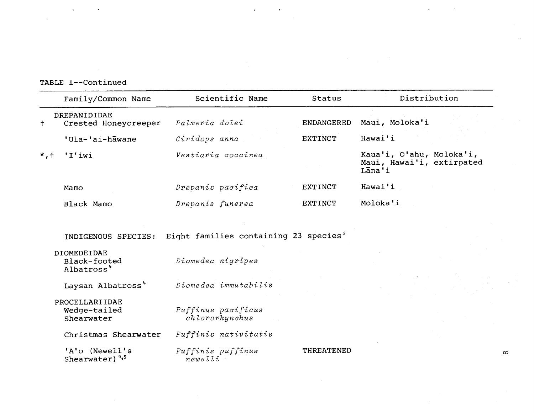TABLE 1--Continued

|                         | Family/Common Name                                           | Scientific Name                                   | Status            | Distribution                                                             |
|-------------------------|--------------------------------------------------------------|---------------------------------------------------|-------------------|--------------------------------------------------------------------------|
| $\ddagger$              | DREPANIDIDAE<br>Crested Honeycreeper                         | Palmeria dolei                                    | <b>ENDANGERED</b> | Maui, Moloka'i                                                           |
|                         | 'Ula-'ai-hawane                                              | Ciridops anna                                     | <b>EXTINCT</b>    | Hawai'i                                                                  |
| $^{\star}$ , $^{\star}$ | 'I'iwi                                                       | Vestiaria coccinea                                |                   | Kaua'i, O'ahu, Moloka'i,<br>Maui, Hawai'i, extirpated<br>$L\bar{a}$ na'i |
|                         | Mamo                                                         | Drepanis pacifica                                 | EXTINCT           | Hawai'i                                                                  |
|                         | Black Mamo                                                   | Drepanis funerea                                  | <b>EXTINCT</b>    | Moloka'i                                                                 |
|                         | <b>DIOMEDEIDAE</b><br>Black-footed<br>Albatross <sup>4</sup> | Diomedea nigripes                                 |                   |                                                                          |
|                         | INDIGENOUS SPECIES:                                          | Eight families containing 23 species <sup>3</sup> |                   |                                                                          |
|                         | Laysan Albatross <sup>4</sup>                                | Diomedea immutabilis                              |                   |                                                                          |
|                         | PROCELLARIIDAE<br>Wedge-tailed<br>Shearwater                 | Puffinus pacificus<br>chlororhynchus              |                   |                                                                          |
|                         | Christmas Shearwater                                         | Puffinis nativitatis                              |                   |                                                                          |
|                         | 'A'o (Newell's<br>Shearwater) <sup>4,5</sup>                 | Puffinis puffinus<br>newelli                      | THREATENED        |                                                                          |

 $\infty$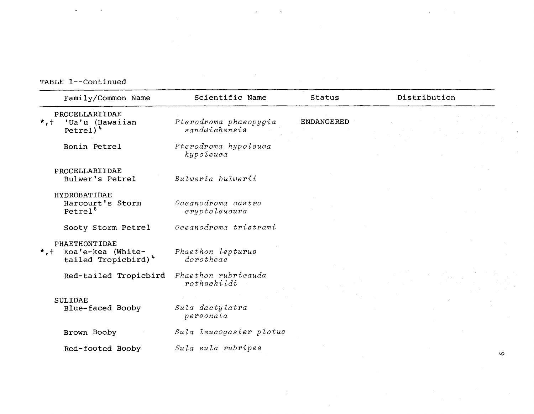**TABLE 1--Continued** 

| Family/Common Name                                                                       | Scientific Name                        | Status            | Distribution |
|------------------------------------------------------------------------------------------|----------------------------------------|-------------------|--------------|
| PROCELLARIIDAE<br>'Ua'u (Hawaiian<br>$\star$ , $\dagger$<br>$Petrel)$ <sup>4</sup>       | Pterodroma phaeopygia<br>sandwichensis | <b>ENDANGERED</b> |              |
| Bonin Petrel                                                                             | Pterodroma hypoleuca<br>hypoleuca      |                   |              |
| PROCELLARIIDAE<br>Bulwer's Petrel                                                        | Bulveria bulverii                      |                   |              |
| HYDROBATIDAE<br>Harcourt's Storm<br>Petrel <sup>6</sup>                                  | Oceanodroma castro<br>cryptoleucura    |                   |              |
| Sooty Storm Petrel                                                                       | Oceanodroma tristrami                  |                   |              |
| PHAETHONTIDAE<br>Koa'e-kea (White-<br>$*$ , $\dagger$<br>tailed Tropicbird) <sup>4</sup> | Phaethon lepturus<br>dorotheae         |                   |              |
| Red-tailed Tropicbird                                                                    | Phaethon rubricauda<br>rothschildi     |                   |              |
| <b>SULIDAE</b><br>Blue-faced Booby                                                       | Sula dactylatra<br>personata           |                   |              |
| Brown Booby                                                                              | Sula leucogaster plotus                |                   |              |
| Red-footed Booby                                                                         | Sula sula rubripes                     |                   | ιo           |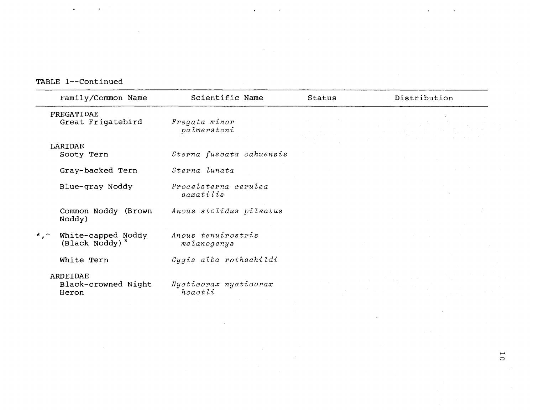**TABLE 1--Continued** 

|                           | Family/Common Name                               | Scientific Name                   | Status | Distribution |
|---------------------------|--------------------------------------------------|-----------------------------------|--------|--------------|
|                           | FREGATIDAE<br>Great Frigatebird                  | Fregata minor<br>palmerstoni      |        |              |
|                           | LARIDAE<br>Sooty Tern                            | Sterna fuscata oahuensis          |        |              |
|                           | Gray-backed Tern                                 | Sterna lunata                     |        |              |
|                           | Blue-gray Noddy                                  | Procelsterna cerulea<br>saxatilis |        |              |
|                           | Common Noddy (Brown<br>Noddy)                    | Anous stolidus pileatus           |        |              |
| $^{\star}$ , $^{\dagger}$ | White-capped Noddy<br>(Black Noddy) <sup>3</sup> | Anous tenuirostris<br>melanogenys |        |              |
|                           | White Tern                                       | Gygis alba rothschildi            |        |              |
|                           | ARDEIDAE<br>Black-crowned Night<br>Heron         | Nycticorax nycticorax<br>hoactli  |        |              |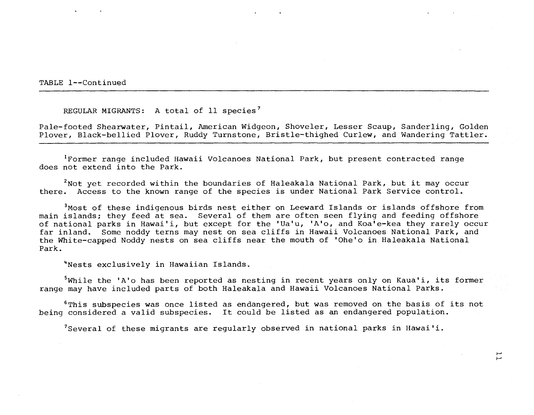TABLE 1--Continued

REGULAR MIGRANTS: A total of 11 species<sup>7</sup>

Pale-footed Shearwater, Pintail, American Widgeon, Shoveler, Lesser Scaup, Sanderling, Golden Plover, Black-bellied Plover, Ruddy Turnstone, Bristle-thighed Curlew, and Wandering Tattler.

<sup>1</sup>Former range included Hawaii Volcanoes National Park, but present contracted range does not extend into the Park.

 $2$ Not yet recorded within the boundaries of Haleakala National Park, but it may occur there. Access to the known range of the species is under National Park Service control.

 $3$  Most of these indigenous birds nest either on Leeward Islands or islands offshore from main islands; they feed at sea. Several of them are often seen flying and feeding offshore of national parks in Hawai'i, but except for the 'Ua'u, 'A'o, and Koa'e-kea they rarely occur far inland. Some noddy terns may nest on sea cliffs in Hawaii Volcanoes National Park, and the White-capped Noddy nests on sea cliffs near the mouth of 'Ohe'o in Haleakala National Park.

<sup>4</sup>Nests exclusively in Hawaiian Islands.

 $5$ While the 'A'o has been reported as nesting in recent years only on Kaua'i, its former range may have included parts of both Haleakala and Hawaii Volcanoes National Parks.

 $6$ This subspecies was once listed as endangered, but was removed on the basis of its not being considered a valid subspecies. It could be listed as an endangered population.

 $7$ Several of these migrants are regularly observed in national parks in Hawai'i.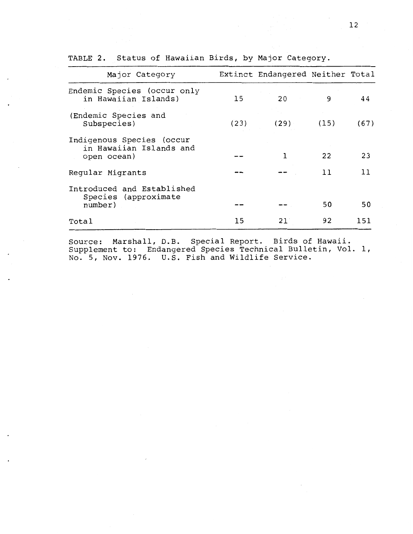| Major Category                                                      |      | Extinct Endangered Neither Total |      |      |
|---------------------------------------------------------------------|------|----------------------------------|------|------|
| Endemic Species (occur only<br>in Hawaiian Islands)                 | 15   | 20                               | 9    | 44   |
| (Endemic Species and<br>Subspecies)                                 | (23) | (29)                             | (15) | (67) |
| Indigenous Species (occur<br>in Hawaiian Islands and<br>open ocean) |      | 1                                | 22   | 23   |
| Regular Migrants                                                    |      |                                  | 11   | 11   |
| Introduced and Established<br>Species (approximate<br>number)       |      |                                  | 50   | 50   |
| Total                                                               | 15   | 21                               | 92   | 151  |

TABLE **2.** Status of Hawaiian Birds, by Major Category.

Source: Marshall, D.B. Special Report. Birds of Hawaii. Supplement to: Endangered Species Technical Bulletin, Vol. 1, No. 5, Nov. 1976. U.S. Fish and Wildlife Service.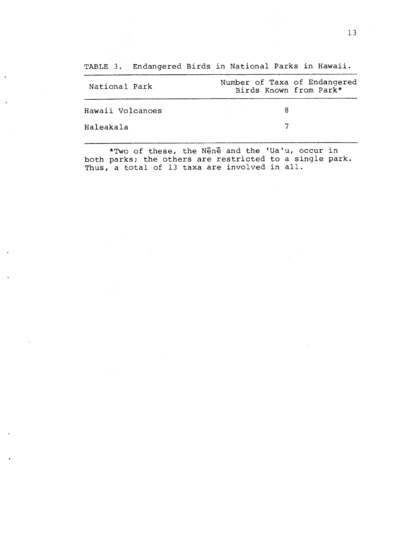National Park Number of Taxa of Endangered Birds Known from Park\* Hawaii Volcanoes 8 Haleakala **7** 

\*Two of these, the NEne and the 'Ua'u, occur in both parks; the others are restricted to a single park. Thus, a total of 13 taxa are involved in all.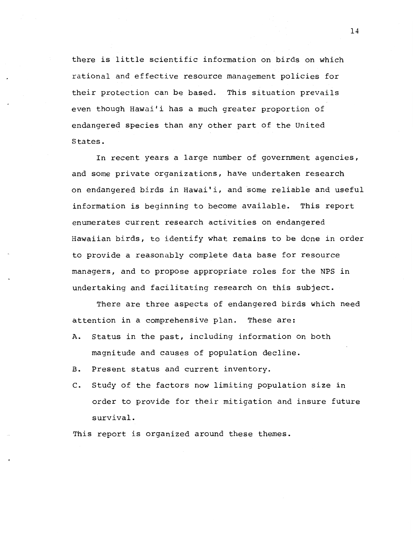there is little scientific information on birds on which rational and effective resource management policies for their protection can be based. This situation prevails even though Hawai'i has a much greater proportion of endangered species than any other part of the United States.

In recent years a large number of government agencies, and some private organizations, have undertaken research on endangered birds in Hawai'i, and some reliable and useful information is beginning to become available. This report enumerates current research activities on endangered Hawaiian birds, to identify what remains to be done in order to provide a reasonably complete data base for resource managers, and to propose appropriate roles for the NPS in undertaking and facilitating research on this subject.

There are three aspects of endangered birds which need attention in a comprehensive plan. These are:

- A. Status in the past, including information on both magnitude and causes of population decline.
- B. Present status and current inventory.
- C. Study of the factors now limiting population size in order to provide for their mitigation and insure future survival.

This report is organized around these themes.

 $14$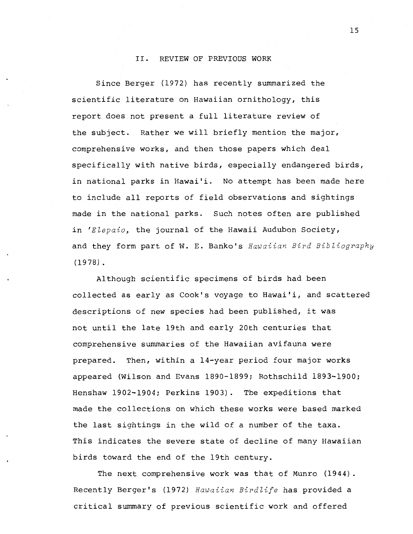## 11. REVIEW OF PREVIOUS WORK

Since Berger (1972) has recently summarized the scientific literature on Hawaiian ornithology, this report does not present a full literature review of the subject. Rather we will briefly mention the major, comprehensive works, and then those papers which deal specifically with native birds, especially endangered birds, in national parks in Hawai'i. No attempt has been made here to include all reports of field observations and sightings made in the national parks. Such notes often are published in *'Elepaio,* the journal of the Hawaii Audubon Society, and they form part of **W.** E. Banko's *Hawaiian Bird BiSZiography*  (1978) .

Although scientific specimens of birds had been collected as early as Cook's voyage to Hawai'i, and scattered descriptions of new species had been published, it was not until the late 19th and early 20th centuries that comprehensive summaries of the Hawaiian avifauna were prepared. Then, within a 14-year period four major works appeared (Wilson and Evans 1890-1899; Rothschild 1893-1900; Henshaw 1902-1904; Perkins 1903). The expeditions that made the collections on which these works were based marked the last sightings in the wild of a number of the taxa. This indicates the severe state of decline of many Hawaiian birds toward the end of the 19th century.

The next comprehensive work was that of Munro (1944). Recently Berger's (1972) *Hawaiian Birdlife* has provided a critical summary of previous scientific work and offered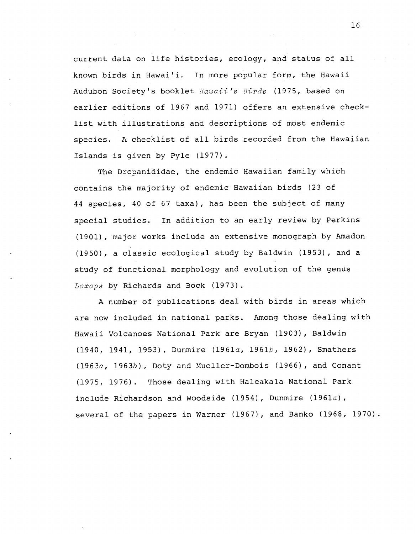current data on life histories, ecology, and status of all known birds in Hawai'i. In more popular form, the Hawaii Audubon Society's booklet Hawaii's Birds (1975, based on earlier editions of 1967 and 1971) offers an extensive checklist with illustrations and descriptions of most endemic species. A checklist of all birds recorded from the Hawaiian Islands is given by Pyle (1977).

The Drepanididae, the endemic Hawaiian family which contains the majority of endemic Hawaiian birds (23 of 44 species, 40 of 67 taxa), has been the subject of many special studies. In addition to an early review by Perkins (1901), major works include an extensive monograph by Amadon (1950), a classic ecological study by Baldwin (1953), and a study of functional morphology and evolution of the genus Loxops by Richards and Bock (1973).

A number of publications deal with birds in areas which are now included in national parks. Among those dealing with Hawaii Volcanoes National Park are Bryan (1903), Baldwin  $(1940, 1941, 1953)$ , Dunmire  $(1961a, 1961b, 1962)$ , Smathers (1963a, 1963b), Doty and Mueller-Dombois (1966), and Conant (1975, 1976). Those dealing with Haleakala National Park include Richardson and Woodside (1954), Dunmire (1961 $a$ ), several of the papers in Warner (1967), and Banko (1968, 1970).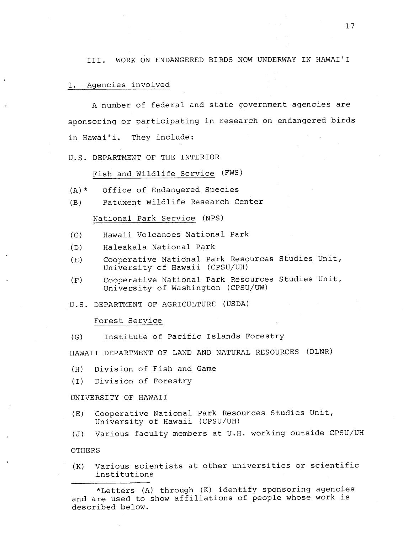111. WORK ON ENDANGERED BIRDS NOW UNDERWAY IN HAWAI'I

## 1. Agencies involved

A number of federal and state government agencies are sponsoring or participating in research on endangered birds in Hawai'i. They include:

#### U.S. DEPARTMENT OF THE INTERIOR

#### Fish and Wildlife Service (FWS)

- (A)\* Office of Endangered Species
- (B) Patuxent Wildlife Research Center

#### National Park Service (NPS)

- (C) Hawaii Volcanoes National Park
- (D) Haleakala National Park
- (E) Cooperative National Park Resources Studies Unit, University of Hawaii (CPSU/UH)
- (F) Cooperative National Park Resources Studies Unit, University of Washington (CPSU/UW)

U.S. DEPARTMENT OF AGRICULTURE (USDA)

#### Forest Service

(G) Institute of Pacific Islands Forestry

HAWAII DEPARTMENT OF LAND AND NATURAL RESOURCES (DLNR)

- (HI Division of Fish and Game
- (I) Division of Forestry

#### UNIVERSITY OF HAWAII

- (E) Cooperative National Park Resources Studies Unit, University of Hawaii (CPSU/UH)
- **(J)** Various faculty members at U.H. working outside CPSU/UH

OTHERS

(K) Various scientists at other universities or scientific institutions

<sup>\*</sup>Letters (A) through (K) identify sponsoring agencies and are used to show affiliations of people whose work is described below.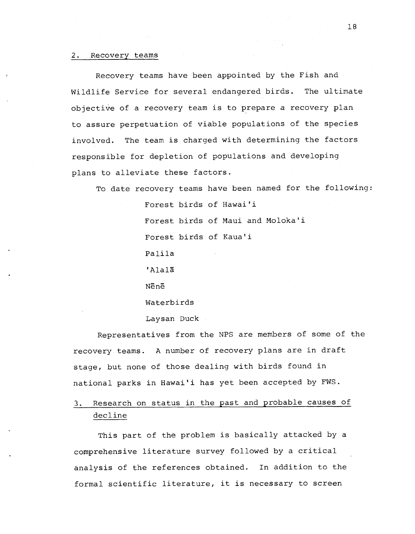#### 2. Recovery teams

Recovery teams have been appointed by the Fish and Wildlife Service for several endangered birds. The ultimate objective of a recovery team is to prepare a recovery plan to assure perpetuation of viable populations of the species involved. The team is charged with determining the factors responsible for depletion of populations and developing plans to alleviate these factors.

To date recovery teams have been named for the following:

Forest birds of Hawai'i Forest birds of Maui and Moloka'i Forest birds of Kaua'i Palila ' AlalZ NEnE Waterbirds Laysan Duck

Representatives from the NPS are members of some of the recovery teams. A number of recovery plans are in draft stage, but none of those dealing with birds found in national parks in Hawai'i has yet been accepted by FWS.

3. Research on status in the past and probable causes of decline

This part of the problem is basically attacked by a comprehensive literature survey followed by a critical analysis of the references obtained. In addition to the formal scientific literature, it is necessary to screen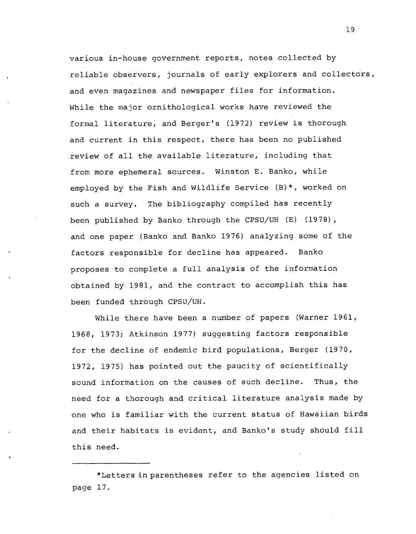various in-house government reports, notes collected by reliable observers, journals of early explorers and collectors, and even magazines and newspaper files for information. While the major ornithological works have reviewed the formal literature, and Berger's (1972) review is thorough and current in this respect, there has been no published review of all the available literature, including that from more ephemeral sources. Winston E. Banko, while employed by the Fish and Wildlife Service (B)\*, worked on such a survey. The bibliography compiled has recently been published by Banko through the **CPSU/UH (E)** (1978), and one paper (Banko and Banko 1976) analyzing some of the factors responsible for decline has appeared. Banko proposes to complete a full analysis of the information obtained by 1981, and the contract to accomplish this has been funded through **CPSU/UH.** 

While there have been a number of papers (Warner 1961, 1968, 1973; Atkinson 1977) suggesting factors responsible for the decline of endemic bird populations, Berger (1970, 1972, 1975) has pointed out the paucity of scientifically sound information on the causes of such decline. Thus, the need for a thorough and critical literature analysis made by one who is familiar with the current status of Hawaiian birds and their habitats is evident, and Banko's study should fill this need.

<sup>\*</sup>Letters in parentheses refer to the agencies listed on page 17.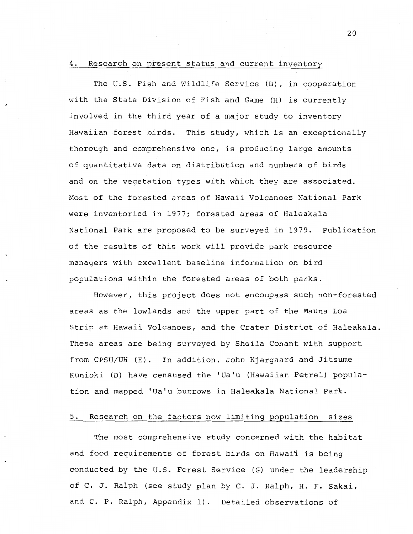#### 4. Research on present status and current inventory

The U.S. Fish and Wildlife Service (B), in cooperation with the State Division of Fish and Game (H) is currently involved in the third year of a major study to inventory Hawaiian forest birds. This study, which is an exceptionally thorough and comprehensive one, is producing large amounts of quantitative data on distribution and numbers of birds and on the vegetation types with which they are associated. Most of the forested areas of Hawaii Volcanoes National Park were inventoried in 1977; forested areas of Haleakala National Park are proposed to be surveyed in 1979. Publication of the results of this work will provide park resource managers with excellent baseline information on bird populations within the forested areas of both parks.

However, this project does not encompass such non-forested areas as the lowlands and the upper part of the Mauna Loa Strip at Hawaii Volcanoes, and the Crater District of Haleakala. These areas are being surveyed by Sheila Conant with support from CPSU/UB (E). In addition, John Kjargaard and Jitsume Kunioki (D) have censused the 'Ua'u (Hawaiian Petrel) population and mapped 'Ua'u burrows in Haleakala National Park.

## 5. Research on the factors now limiting population sizes

The most comprehensive study concerned with the habitat and food requirements of forest birds on Hawai'i is being conducted by the U.S. Forest Service (G) under the leadership of C. J. Ralph (see study plan by C. J. Ralph, H. F. Sakai, and C. P. Ralph, Appendix 1). Detailed observations of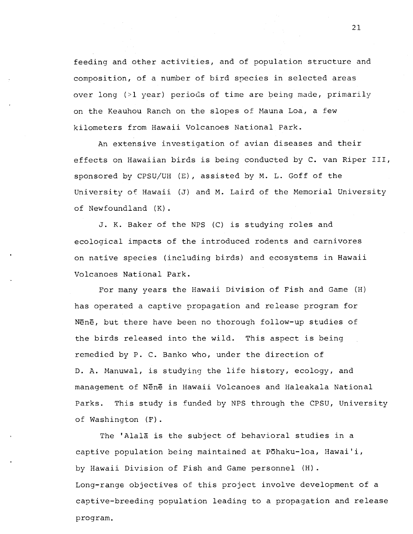feeding and other activities, and of population structure and composition, of a number of bird species in selected areas over long (>1 year) periods of time are being made, primarily on the Keauhou Ranch on the slopes of Mauna Loa, a few kilometers from Hawaii Volcanoes National Park.

An extensive investigation of avian diseases and their effects on Hawaiian birds is being conducted by C. van Riper 111, sponsored by CPSU/UH (E), assisted by M. L. Goff of the University of Hawaii **(J)** and M. Laird of the Memorial University of Newfoundland (K) .

J. K. Baker of the NPS (C) is studying roles and ecological impacts of the introduced rodents and carnivores on native species (including birds) and ecosystems in Hawaii Volcanoes National Park.

For many years the Hawaii Division of Fish and Game (H) has operated a captive propagation and release program for NEnE, but there have been no thorough follow-up studies of the birds released into the wild. This aspect is being remedied by P. C. Banko who, under the direction of D. A. Manuwal, is studying the life history, ecology, and management of NEnE in Hawaii Volcanoes and Haleakala National Parks. This study is funded by NPS through the CPSU, University of Washington (F) .

The 'Alala is the subject of behavioral studies in a captive population being maintained at Pōhaku-loa, Hawai'i, by Hawaii Division of Fish and Game personnel (H). Long-range objectives of this project involve development of a captive-breeding population leading to a propagation and release program.

 $21$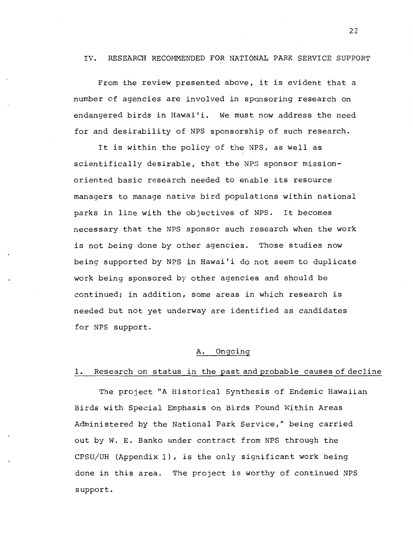### IV. RESEARCH RECOMMENDED FOR NATIONAL PARK SERVICE SUPPORT

From the review presented above, it is evident that a number of agencies are involved in sponsoring research on endangered birds in Hawai'i. We must now address the need for and desirability of NPS sponsorship of such research.

It is within the policy of the NPS, as well as scientifically desirable, that the NPS sponsor missionoriented basic research needed to enable its resource managers to manage native bird populations within national parks in line with the objectives of NPS. It becomes necessary that the NPS sponsor such research when the work is not being done by other agencies. Those studies now being supported by NPS in Hawai'i do not seem to duplicate work being sponsored by other agencies and should be continued; in addition, some areas in which research is needed but not yet underway are identified as candidates for NPS support.

## A. Ongoing

## 1. Research on status in the past and probable causes of decline

The project "A Historical Synthesis of Endemic Hawaiian Birds with Special Emphasis on Birds Found Within Areas Administered by the National Park Service," being carried out by W. E. Banko under contract from NPS through the  $CPSU/UH$  (Appendix 1), is the only significant work being done in this area. The project is worthy of continued NPS support.

 $22$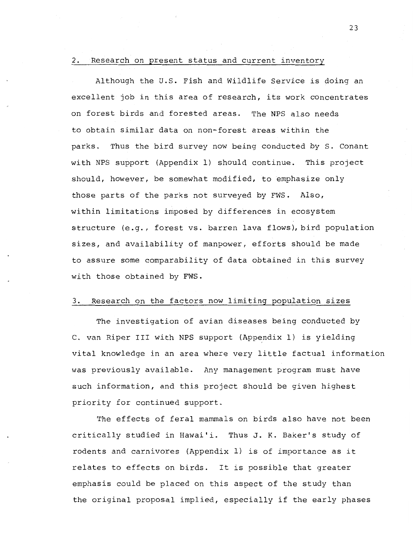#### 2. Research on present status and current inventory

Although the U.S. Fish and Wildlife Service is doing an excellent job in this area of research, its work concentrates on forest birds and forested areas. The **NPS** also needs to obtain similar data on non-forest areas within the parks. Thus the bird survey now being conducted by S. Conant with NPS support (Appendix 1) should continue. This project should, however, be somewhat modified, to emphasize only those parts of the parks not surveyed by FWS. Also, within limitations imposed by differences in ecosystem structure (e.g., forest vs. barren lava flows), bird population sizes, and availability of manpower, efforts should be made to assure some comparability of data obtained in this survey with those obtained by FWS.

## 3. Research on the factors now limiting population sizes

The investigation of avian diseases being conducted by C. van Riper I11 with NPS support (Appendix 1) is yielding vital knowledge in an area where very little factual information was previously available. Any management program must have such information, and this project should be given highest priority for continued support.

The effects of feral mammals on birds also have not been critically studied in Hawai'i. Thus J. K. Baker's study of rodents and carnivores (Appendix 1) is of importance as it relates to effects on birds. It is possible that greater emphasis could be placed on this aspect of the study than the original proposal implied, especially if the early phases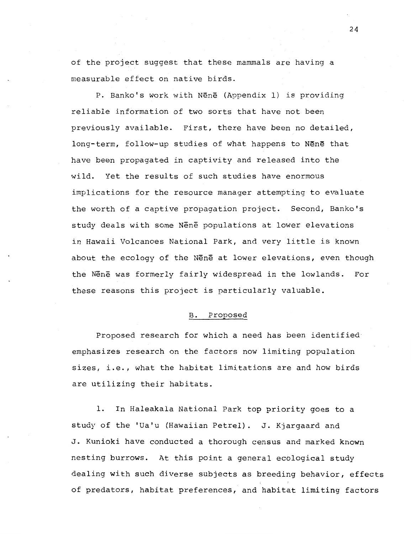of the project suggest that these mammals are having a measurable effect on native birds.

P. Banko's work with NEnE (Appendix 1) is providing reliable information of two sorts that have not been previously available. First, there have been no detailed, long-term, follow-up studies of what happens to NEnE that have been propagated in captivity and released into the wild. Yet the results of such studies have enormous implications for the resource manager attemyting to evaluate the worth of a captive propagation project. Second, Banko's study deals with some NEnE populations at lower elevations in Hawaii Volcanoes National Park, and very little is known about the ecology of the Nene at lower elevations, even though the NEn5 was formerly fairly widespread in the lowlands. For these reasons this project is particularly valuable.

## B. Proposed

Proposed research for which a need has been identified emphasizes research on the factors now limiting population sizes, i.e., what the habitat limitations are and how birds are utilizing their habitats.

**1.** In Haleakala National Park top priority goes to a study of the 'Ua'u (Hawaiian Petrel). J. Kjargaard and J. Kunioki have conducted a thorough census and marked known nesting burrows. At this point a general ecological study dealing with such diverse subjects as breeding behavior, effects of predators, habitat preferences, and habitat limiting factors

 $24$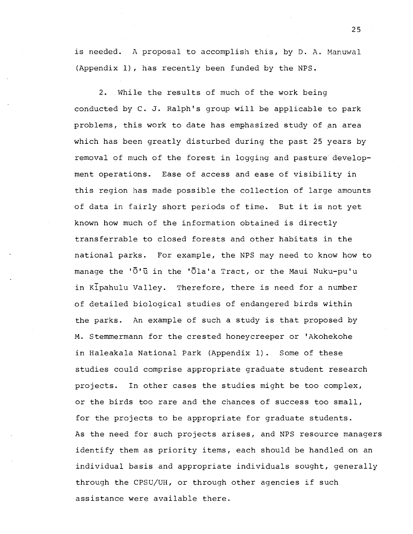is needed. A proposal to accomplish this, by D. A. Manuwal (Appendix l), has recently been funded by the NPS.

2. While the results of much of the work being conducted by C. J. Ralph's group will be applicable to park problems, this work to date has emghasized study of an area which has been greatly disturbed during the past 25 years by removal of much of the forest in logging and pasture development operations. Ease of access and ease of visibility in this region has made possible the collection of large amounts of data in fairly short periods of time. But it is not yet known how much of the information obtained is directly transferrable to closed forests and other habitats in the national parks. For example, the NPS may need to know how to manage the 'O'u in the 'Ola'a Tract, or the Maui Nuku-pu'u in  $K$ Ipahulu Valley. Therefore, there is need for a number of detailed biological studies of endangered birds within the parks. An example of such a study is that proposed by M. Stemmermann for the crested honeycreeper or 'Akohekohe in Haleakala National Park (Appendix 1). Some of these studies could comprise appropriate graduate student research projects. In other cases the studies might be too complex, or the birds too rare and the chances of success too small, for the projects to be appropriate for graduate students. As the need for such projects arises, and NPS resource managers identify them as priority items, each should be handled on an individual basis and appropriate individuals sought, generally through the CPSU/UH, or through other agencies if such assistance were available there.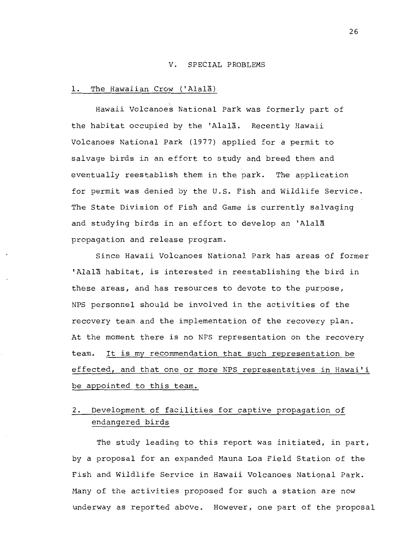### V. SPECIAL PROBLEMS

## 1. The Hawaiian Crow ('Alala)

Hawaii volcanoes National Park was formerly part of the habitat occupied by the 'Alala. Recently Hawaii Volcanoes National Park (1977) applied for a permit to salvage birds in an effort to study and breed them and eventually reestablish them in the park. The application for permit was denied by the U.S. Fish and Wildlife Service. The State Division of Fish and Game is currently salvaging and studying birds in an effort to develop an 'Alala propagation and release program.

Since Hawaii Volcanoes National Park has areas of former 'Alala habitat, is interested in reestablishing the bird in these areas, and has resources to devote to the purpose, NPS personnel should be involved in the activities of the recovery team and the implementation of the recovery plan. At the moment there is no NPS representation on the recovery team. It is my recommendation that such representation be effected, and that one or more NPS representatives in Hawai'i be appointed to this team.

# **2.** Development of facilities for captive propagation of endangered birds

The study leading to this report was initiated, in part, by a proposal for an expanded Mauna Loa Field Station of the Fish and Wildlife Service in Hawaii Volcanoes National Park. Many of the activities proposed for such a station are now underway as reported above. However, one part of the proposal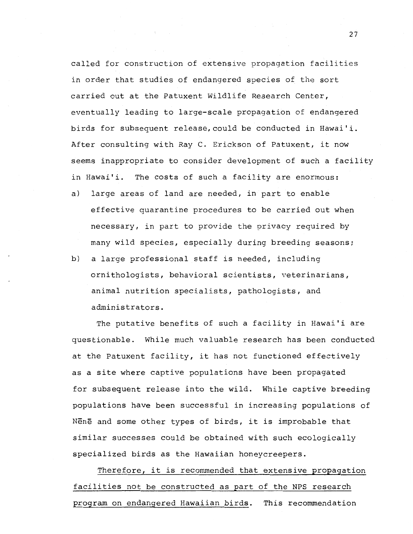called for construction of extensive propagation facilities in order that studies of endangered species of the sort carried out at the Patuxent Wildlife Research Center, eventually leading to large-scale propagation of endangered birds for subsequent release,could be conducted in Hawai'i. After consulting with Ray C. Erickson of Patuxent, it now seems inappropriate to consider development of such a facility in Hawai'i. The costs of such a facility are enormous:

- a) large areas of land are needed, in part to enable effective quarantine procedures to be carried out when necessary, in part to provide the privacy required by many wild species, especially during breeding seasons;
- b) a large professional staff is needed, including ornithologists, behavioral scientists, veterinarians, animal nutrition specialists, pathologists, and administrators.

The putative benefits of such a facility in Hawai'i are questionable. While much valuable research has been conducted at the Patuxent facility, it has not functioned effectively as a site where captive populations have been propagated for subsequent release into the wild. While captive breeding populations have been successful in increasing populations of Nene and some other types of birds, it is improbable that similar successes could be obtained with such ecologically specialized birds as the Hawaiian honeycreepers.

Therefore, it is recommended that extensive propagation facilities not be constructed as part of the NPS research program on endangered Hawaiian birds. This recommendation

 $27$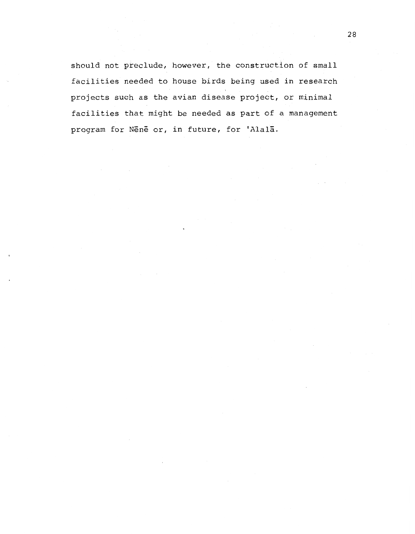should not preclude, however, the construction of small facilities needed to house birds being used in research projects such as the avian disease project, or minimal facilities that might be needed as part of a management program for Nene or, in future, for 'Alala.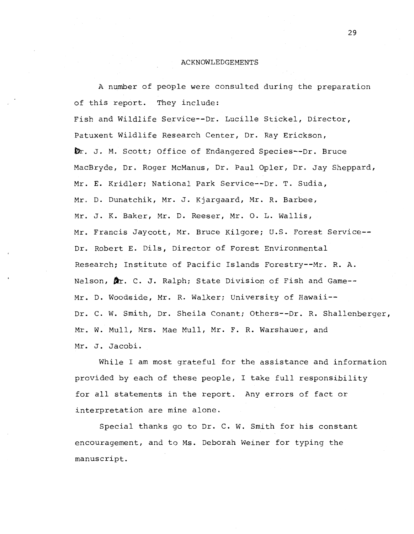#### ACKNOWLEDGEMENTS

A number of people were consulted during the preparation of this report. They include:

Fish and Wildlife Service--Dr. Lucille Stickel, Director, Patuxent Wildlife Research Center, Dr. Ray Erickson, Dr. J. M. Scott; Office of Endangered Species--Dr. Bruce MacBryde, Dr. Roger McManus, Dr. Paul Opler, Dr. Jay Sheppard, Mr. E. Kridler; National Park Service--Dr. T. Sudia, Mr. D. Dunatchik, Mr. J. Kjargaard, Mr. R. Barbee, Mr. J. K. Baker, Mr. D. Reeser, Mr. 0. L. Wallis, Mr. Francis Jaycott, Mr. Bruce Kilgore; U.S. Forest Service-- Dr. Robert E. Dils, Director of Forest Environmental Research; Institute of Pacific Islands Forestry--Mr. R. **A.**  Nelson,  $\oint x$ . C. J. Ralph; State Division of Fish and Game--Mr. D. Woodside, Mr. R. Walker; University of Hawaii-- Dr. C. W. Smith, Dr. Sheila Conant; Others--Dr. R. Shallenberger, Mr. W. Mull, Mrs. Mae Mull, Mr. F. R. Warshauer, and Mr. J. Jacobi.

While I am most grateful for the assistance and information provided by each of these people, I take full responsibility for all statements in the report. Any errors of fact or interpretation are mine alone.

Special thanks go to Dr. C. W. Smith for his constant encouragement, and to Ms. Deborah Weiner for typing the manuscript.

29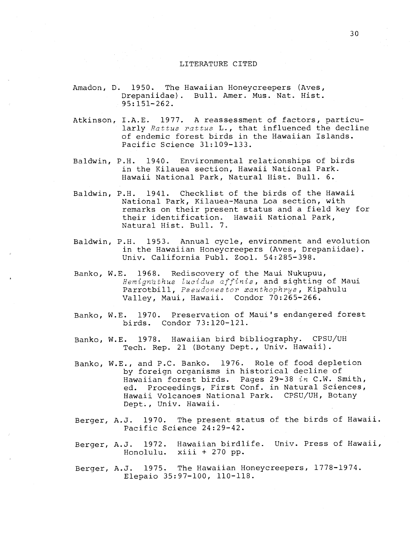#### LITERATURE CITED

- Amadon, D. 1950. The Hawaiian Honeycreepers (Aves, Drepaniidae). Bull. Amer. Mus. Nat. Hist. 95: 151-262.
- Atkinson, I.A.E. 1977. A reassessment of factors, particularly Rattus rattus L., that influenced the decline of endemic forest birds in the Hawaiian Islands. Pacific Science 31:109-133.
- Baldwin, P.H. 1940. Environmental relationships of birds in the Kilauea section, Hawaii National Park. Hawaii National Park, Natural Hist. Bull. 6.
- Baldwin, P.H. 1941. Checklist of the birds of the Hawaii National Park, Kilauea-Mauna Loa section, with remarks on their present status and a field key for their identification. Hawaii National Park, Natural Hist. Bull. 7.
- Baldwin, P.H. 1953. Annual cycle, environment and evolution in the Hawaiian Honeycreepers (Aves, Drepaniidae). Univ. California Publ. Zool. 54:285-398.
- Banko, W.E. 1968. Rediscovery of the Maui Nukupuu, Hemignathus lucidus affinis, and sighting of Maui Parrotbill, Pseudonestor xanthophrys, Kipahulu Valley, Maui, Hawaii. Condor 70:265-266.
- Banko, W.E. 1970. Preservation of Maui's endangered forest birds. Condor 73:120-121.
- Banko, W.E. 1978. Hawaiian bird bibliography. CPSU/UH Tech. Rep. 21 (Botany Dept., Univ. Hawaii).
- Banko, W.E., and P.C. Banko. 1976. Role of food depletion by foreign organisms in historical decline of Hawaiian forest birds. Pages 29-38 in C.W. Smith, ed. Proceedings, First Conf. in Natural Sciences, Hawaii Volcanoes National Park. CPSU/UH, Botany Dept., Univ. Hawaii.
- Berger, A.J. 1970. The present status of the birds of Hawaii. Pacific Science 24:29-42.
- Berger, A.J. 1972. Hawaiian birdlife. Univ. Press of Hawaii,<br>Honolulu. xiii + 270 pp.  $xiii + 270$  pp.
- Berger, A.J. 1975. The Hawaiian Honeycreepers, 1778-1974. Elepaio 35:97-100, 110-118.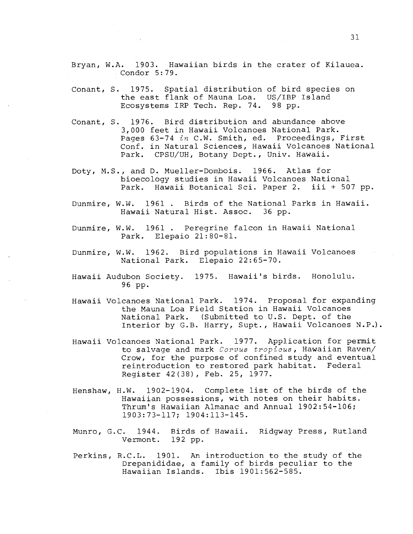Bryan, W.A. 1903. Hawaiian birds in the crater of Kilauea. Condor 5:79.

- Conant, S. 1975. Spatial distribution of bird species on the east flank of Mauna Loa. US/IBP Island Ecosystems IRP Tech. Rep. 74. 98 pp.
- Conant, S. 1976. Bird distribution and abundance above 3,000 feet in Hawaii Volcanoes National Park. Pages 63-74 in C.W. Smith, ed. Proceedings, First Conf. in Natural Sciences, Hawaii Volcanoes National Park. CPSU/UH, Botany Dept., Univ. Hawaii.
- Doty, M.S., and D. Mueller-Dombois. 1966. Atlas for bioecology studies in Hawaii Volcanoes National Park. Hawaii Botanical Sci. Paper 2. iii + 507 pp.
- Dunmire, W.W. 1961 . Birds of the National Parks in Hawaii. Hawaii Natural Hist. Assoc. 36 pp.
- Dunmire, W.W. 1961 . Peregrine falcon in Hawaii National Park. Elepaio 21:80-81.
- Dunmire, W.W. 1962. Bird populations in Hawaii Volcanoes National Park. Elepaio 22:65-70.
- Hawaii Audubon Society. 1975. Hawaii's birds. Honolulu. 96 pp.
- Hawaii Volcanoes National Park. 1974. Proposal for expanding the Mauna Loa Field Station in Hawaii Volcanoes National Park. (Submitted to U.S. Dept. of the Interior by G.B. Harry, Supt., Hawaii Volcanoes N.P.).
- Hawaii Volcanoes National Park. 1977. Application for permit to salvage and mark Corvus tropicus, Hawaiian Raven/ Crow, for the purpose of confined study and eventual reintroduction to restored park habitat. Federal Register 42(38), Feb. 25, 1977.
- Henshaw, H.W. 1902-1904. Complete list of the birds of the Hawaiian possessions, with notes on their habits. Thrum's Hawaiian Almanac and Annual 1902:54-106; 1903:73-117; 1904:113-145.
- Munro, G.C. 1944. Birds of Hawaii. Ridgway Press, Rutland Vermont. 192 pp.
- Perkins, R.C.L. 1901. An introduction to the study of the Drepanididae, a family of birds peculiar to the Hawaiian Islands. Ibis 1901:562-585.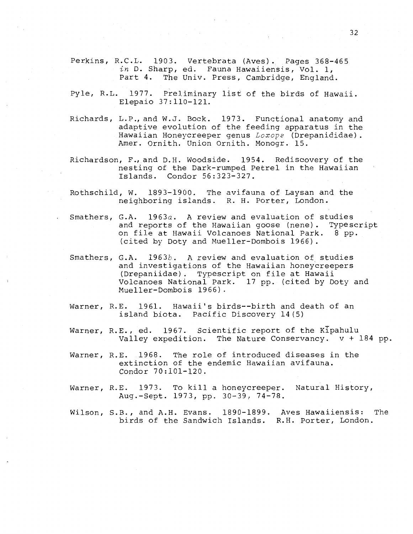Perkins, R.C.L. 1903. Vertebrata (Aves). Pages 368-465  $in$  D. Sharp, ed. Fauna Hawaiiensis, Vol. 1, Part 4. The Univ. Press, Cambridge, England The Univ. Press, Cambridge, England.

- Pyle, R.L. 1977. Preliminary list of the birds of Hawaii. Elepaio 37:110-121.
- Richards, L.P., and W.J. Bock. 1973. Functional anatomy and adaptive evolution of the feeding apparatus in the Hawaiian Honeycreeper genus Loxops (Drepanididae). Amer. Ornith. Union Ornith. Monogr. 15.
- Richardson, F., and D.H. Woodside. 1954. Rediscovery of the nesting of the Dark-rumped Petrel in the Hawaiian Islands. Condor 56:323-327.
- Rothschild, W. 1893-1900. The avifauna of Laysan and the neighboring islands. R. H. Porter, London.
- Smathers, G.A.  $1963a$ . A review and evaluation of studies and reports of the Hawaiian goose (nene). Typescript on file at Hawaii Volcanoes National Park. 8 pp. (cited by Doty and Mueller-Dombois 1966).
- Smathers, G.A. 1963b. A review and evaluation of studies and investigations of the Hawaiian honeycreepers (Drepaniidae). Typescript on file at Hawaii Volcanoes National Park. 17 pp. (cited by Doty and Mueller-bombois 1966).
- Warner, R.E. 1961. Hawaii's birds--birth and death of an island biota. Pacific Discovery 14(5)
- Warner, R.E., ed. 1967. Scientific report of the Kipahulu Valley expedition. The Nature Conservancy. v + 184 pp.
- Warner, R.E. 1968. The role of introduced diseases in the extinction of the endemic Hawaiian avifauna. Condor 70:lOl-120.
- Warner, R.E. 1973. To kill a honeycreeper. Natural History, Aug.-Sept. 1973, pp. 30-39, 74-78.
- Wilson, S.B., and A.H. Evans. 1890-1899. Aves Hawaiiensis: The birds of the Sandwich Islands. R.H. porter, London.